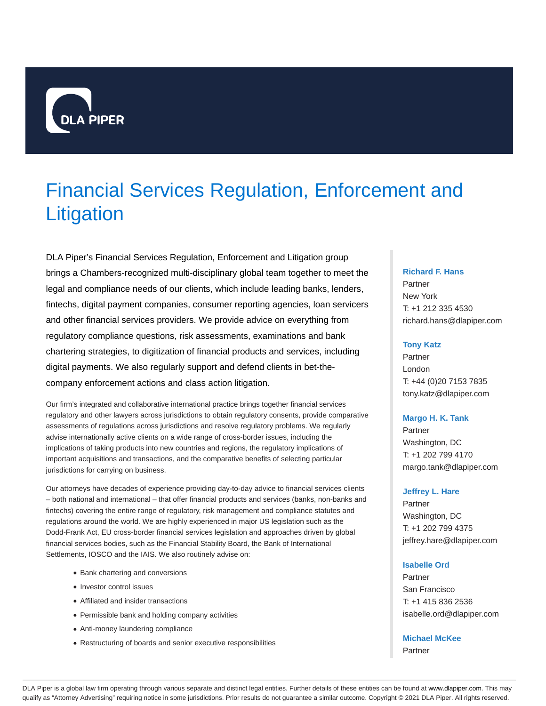

# Financial Services Regulation, Enforcement and **Litigation**

DLA Piper's Financial Services Regulation, Enforcement and Litigation group brings a Chambers-recognized multi-disciplinary global team together to meet the legal and compliance needs of our clients, which include leading banks, lenders, fintechs, digital payment companies, consumer reporting agencies, loan servicers and other financial services providers. We provide advice on everything from regulatory compliance questions, risk assessments, examinations and bank chartering strategies, to digitization of financial products and services, including digital payments. We also regularly support and defend clients in bet-thecompany enforcement actions and class action litigation.

Our firm's integrated and collaborative international practice brings together financial services regulatory and other lawyers across jurisdictions to obtain regulatory consents, provide comparative assessments of regulations across jurisdictions and resolve regulatory problems. We regularly advise internationally active clients on a wide range of cross-border issues, including the implications of taking products into new countries and regions, the regulatory implications of important acquisitions and transactions, and the comparative benefits of selecting particular jurisdictions for carrying on business.

Our attorneys have decades of experience providing day-to-day advice to financial services clients – both national and international – that offer financial products and services (banks, non-banks and fintechs) covering the entire range of regulatory, risk management and compliance statutes and regulations around the world. We are highly experienced in major US legislation such as the Dodd-Frank Act, EU cross-border financial services legislation and approaches driven by global financial services bodies, such as the Financial Stability Board, the Bank of International Settlements, IOSCO and the IAIS. We also routinely advise on:

- Bank chartering and conversions
- Investor control issues
- Affiliated and insider transactions
- Permissible bank and holding company activities
- Anti-money laundering compliance
- Restructuring of boards and senior executive responsibilities

## **Richard F. Hans**

Partner New York T: +1 212 335 4530 richard.hans@dlapiper.com

#### **Tony Katz**

Partner London T: +44 (0)20 7153 7835 tony.katz@dlapiper.com

#### **Margo H. K. Tank**

Partner Washington, DC T: +1 202 799 4170 margo.tank@dlapiper.com

#### **Jeffrey L. Hare**

**Partner** Washington, DC T: +1 202 799 4375 jeffrey.hare@dlapiper.com

#### **Isabelle Ord**

Partner San Francisco T: +1 415 836 2536 isabelle.ord@dlapiper.com

## **Michael McKee**

Partner

DLA Piper is a global law firm operating through various separate and distinct legal entities. Further details of these entities can be found at www.dlapiper.com. This may qualify as "Attorney Advertising" requiring notice in some jurisdictions. Prior results do not guarantee a similar outcome. Copyright © 2021 DLA Piper. All rights reserved.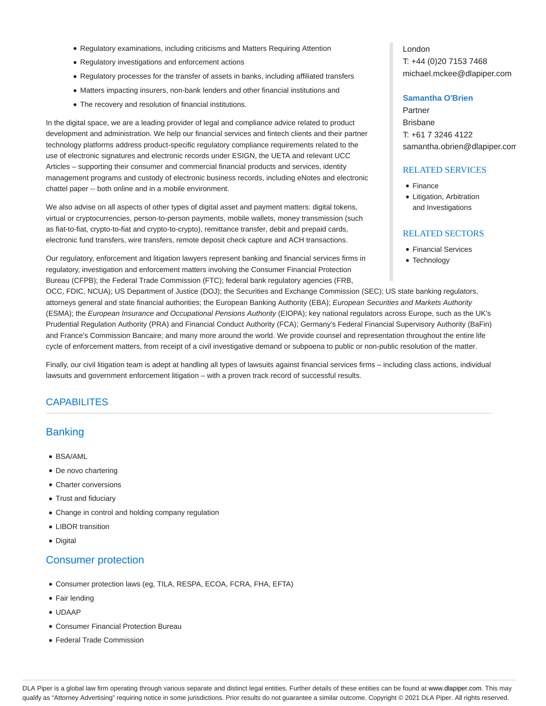- Regulatory examinations, including criticisms and Matters Requiring Attention
- Regulatory investigations and enforcement actions
- Regulatory processes for the transfer of assets in banks, including affiliated transfers
- Matters impacting insurers, non-bank lenders and other financial institutions and
- The recovery and resolution of financial institutions.

In the digital space, we are a leading provider of legal and compliance advice related to product development and administration. We help our financial services and fintech clients and their partner technology platforms address product-specific regulatory compliance requirements related to the use of electronic signatures and electronic records under ESIGN, the UETA and relevant UCC Articles – supporting their consumer and commercial financial products and services, identity management programs and custody of electronic business records, including eNotes and electronic chattel paper -- both online and in a mobile environment.

We also advise on all aspects of other types of digital asset and payment matters: digital tokens, virtual or cryptocurrencies, person-to-person payments, mobile wallets, money transmission (such as fiat-to-fiat, crypto-to-fiat and crypto-to-crypto), remittance transfer, debit and prepaid cards, electronic fund transfers, wire transfers, remote deposit check capture and ACH transactions.

Our regulatory, enforcement and litigation lawyers represent banking and financial services firms in regulatory, investigation and enforcement matters involving the Consumer Financial Protection Bureau (CFPB); the Federal Trade Commission (FTC); federal bank regulatory agencies (FRB,

OCC, FDIC, NCUA); US Department of Justice (DOJ); the Securities and Exchange Commission (SEC); US state banking regulators, attorneys general and state financial authorities; the European Banking Authority (EBA); European Securities and Markets Authority (ESMA); the European Insurance and Occupational Pensions Authority (EIOPA); key national regulators across Europe, such as the UK's Prudential Regulation Authority (PRA) and Financial Conduct Authority (FCA); Germany's Federal Financial Supervisory Authority (BaFin) and France's Commission Bancaire; and many more around the world. We provide counsel and representation throughout the entire life cycle of enforcement matters, from receipt of a civil investigative demand or subpoena to public or non-public resolution of the matter.

Finally, our civil litigation team is adept at handling all types of lawsuits against financial services firms – including class actions, individual lawsuits and government enforcement litigation – with a proven track record of successful results.

## **CAPABILITES**

# **Banking**

- BSA/AML
- De novo chartering
- Charter conversions
- Trust and fiduciary
- Change in control and holding company regulation
- LIBOR transition
- Digital

## Consumer protection

- Consumer protection laws (eg, TILA, RESPA, ECOA, FCRA, FHA, EFTA)
- Fair lending
- UDAAP
- Consumer Financial Protection Bureau
- Federal Trade Commission

London T: +44 (0)20 7153 7468 michael.mckee@dlapiper.com

### **Samantha O'Brien**

Partner Brisbane T: +61 7 3246 4122 samantha.obrien@dlapiper.com

#### RELATED SERVICES

- Finance
- Litigation, Arbitration and Investigations

#### RELATED SECTORS

- Financial Services
- Technology

DLA Piper is a global law firm operating through various separate and distinct legal entities. Further details of these entities can be found at www.dlapiper.com. This may qualify as "Attorney Advertising" requiring notice in some jurisdictions. Prior results do not guarantee a similar outcome. Copyright @ 2021 DLA Piper. All rights reserved.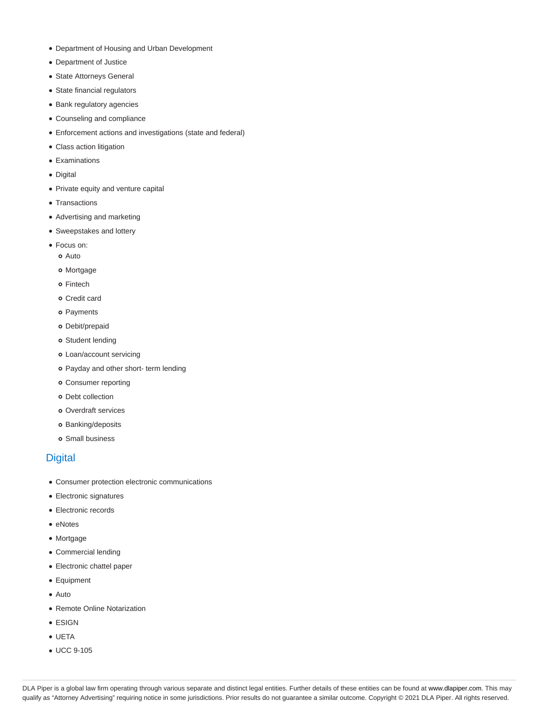- Department of Housing and Urban Development
- Department of Justice
- State Attorneys General
- State financial regulators
- Bank regulatory agencies
- Counseling and compliance
- Enforcement actions and investigations (state and federal)
- Class action litigation
- Examinations
- Digital
- Private equity and venture capital
- Transactions
- Advertising and marketing
- Sweepstakes and lottery
- Focus on:
	- Auto
	- Mortgage
	- o Fintech
	- Credit card
	- o Payments
	- Debit/prepaid
	- Student lending
	- Loan/account servicing
	- o Payday and other short- term lending
	- Consumer reporting
	- o Debt collection
	- Overdraft services
	- o Banking/deposits
	- o Small business

## **Digital**

- Consumer protection electronic communications
- Electronic signatures
- Electronic records
- eNotes
- Mortgage
- Commercial lending
- Electronic chattel paper
- Equipment
- Auto
- Remote Online Notarization
- ESIGN
- UETA
- UCC 9-105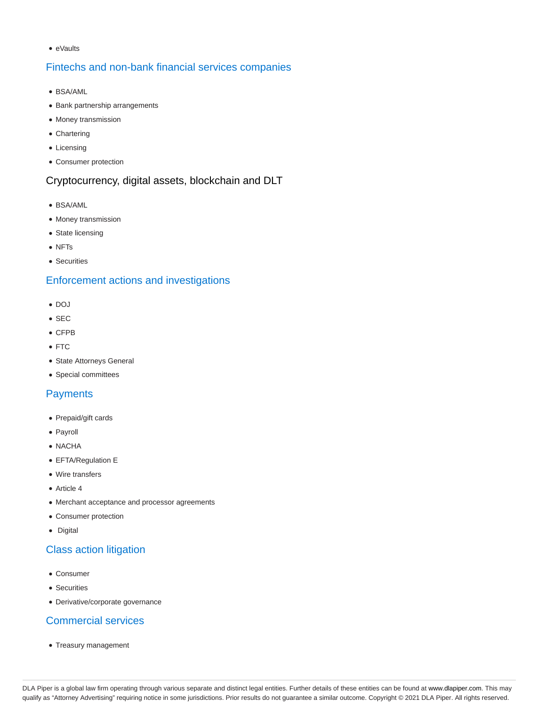• eVaults

# Fintechs and non-bank financial services companies

- BSA/AML
- Bank partnership arrangements
- Money transmission
- Chartering
- Licensing
- Consumer protection

# Cryptocurrency, digital assets, blockchain and DLT

- BSA/AML
- Money transmission
- State licensing
- NFTs
- Securities

# Enforcement actions and investigations

- $\bullet$  DOJ
- $\bullet$  SEC
- CFPB
- FTC
- State Attorneys General
- Special committees

# **Payments**

- Prepaid/gift cards
- Payroll
- NACHA
- EFTA/Regulation E
- Wire transfers
- Article 4
- Merchant acceptance and processor agreements
- Consumer protection
- Digital

# Class action litigation

- Consumer
- **•** Securities
- Derivative/corporate governance

# Commercial services

• Treasury management